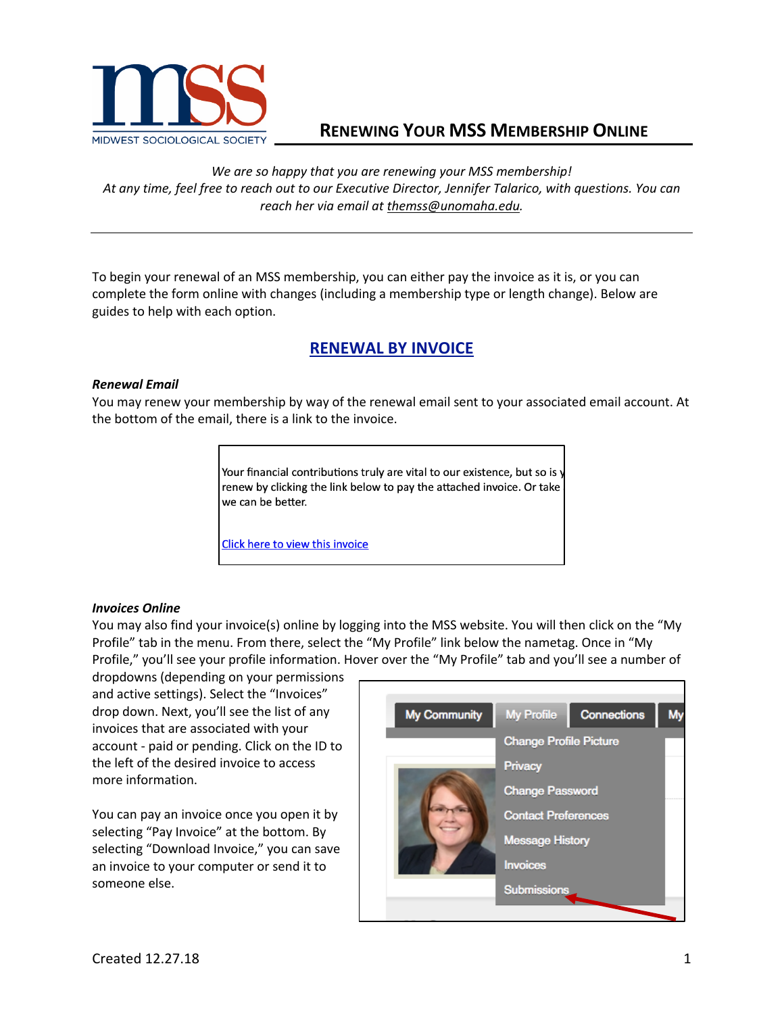

## **RENEWING YOUR MSS MEMBERSHIP ONLINE**

*We are so happy that you are renewing your MSS membership! At any time, feel free to reach out to our Executive Director, Jennifer Talarico, with questions. You can reach her via email at themss@unomaha.edu.*

To begin your renewal of an MSS membership, you can either pay the invoice as it is, or you can complete the form online with changes (including a membership type or length change). Below are guides to help with each option.

# **RENEWAL BY INVOICE**

### *Renewal Email*

You may renew your membership by way of the renewal email sent to your associated email account. At the bottom of the email, there is a link to the invoice.

> Your financial contributions truly are vital to our existence, but so is y renew by clicking the link below to pay the attached invoice. Or take we can be better.

Click here to view this invoice

#### *Invoices Online*

You may also find your invoice(s) online by logging into the MSS website. You will then click on the "My Profile" tab in the menu. From there, select the "My Profile" link below the nametag. Once in "My Profile," you'll see your profile information. Hover over the "My Profile" tab and you'll see a number of

dropdowns (depending on your permissions and active settings). Select the "Invoices" drop down. Next, you'll see the list of any invoices that are associated with your account - paid or pending. Click on the ID to the left of the desired invoice to access more information.

You can pay an invoice once you open it by selecting "Pay Invoice" at the bottom. By selecting "Download Invoice," you can save an invoice to your computer or send it to someone else.